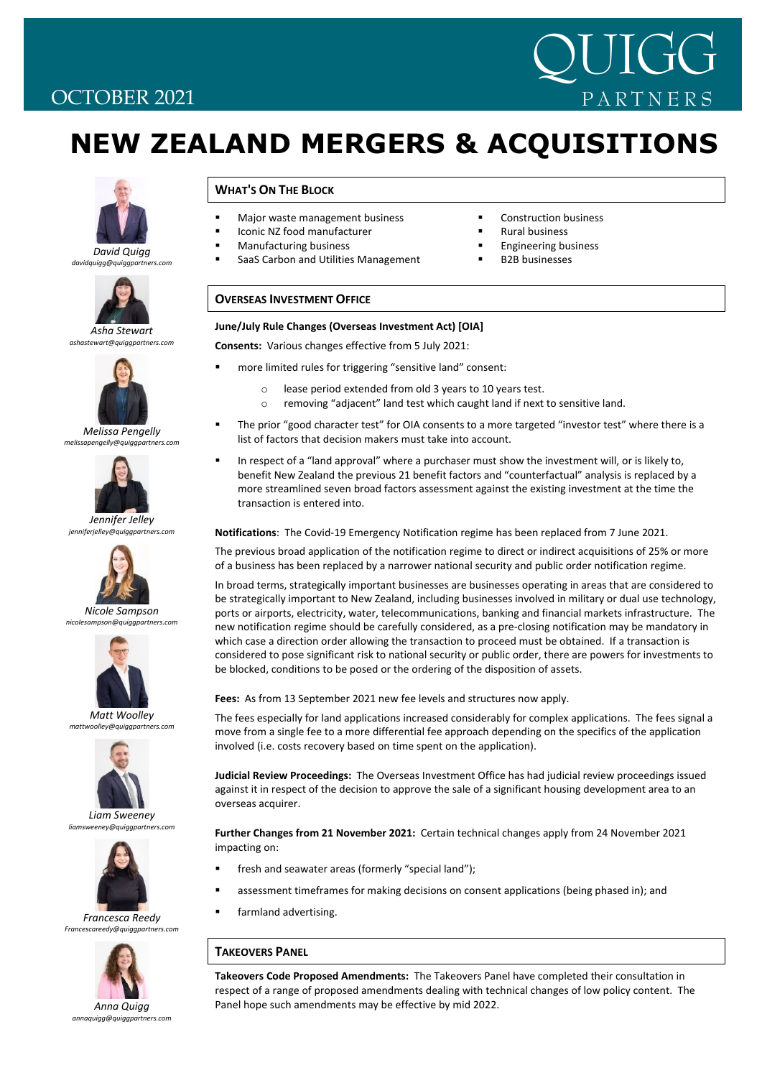## OCTOBER 2021

# **NEW ZEALAND MERGERS & ACQUISITIONS**



#### *David Quigg davidquigg@quiggpartners.com*



*Asha Stewart ashastewart@quiggpartners.com*



*Melissa Pengelly melissapengelly@quiggpartners.com*



*Jennifer Jelley jenniferjelley@quigg* 



*Nicole Sampson nicolesampson@quiggpartners.com*



*Matt Woolley mattwoolley@quiggpartners.com*



*Liam Sweeney liamsweeney@quiggpartners.com*



*Francesca Reedy Francescareedy@quiggpartners.com*



*annaquigg@quiggpartners.com*

### **WHAT'S ON THE BLOCK**

- **Major waste management business**
- Iconic NZ food manufacturer
- Manufacturing business
- SaaS Carbon and Utilities Management
- **•** Construction business

QUIGG

PARTNERS

- **Rural business**
- **Engineering business** 
	- B2B businesses

### **OVERSEAS INVESTMENT OFFICE**

#### **June/July Rule Changes (Overseas Investment Act) [OIA]**

**Consents:** Various changes effective from 5 July 2021:

- more limited rules for triggering "sensitive land" consent:
	- o lease period extended from old 3 years to 10 years test.
	- o removing "adjacent" land test which caught land if next to sensitive land.
- The prior "good character test" for OIA consents to a more targeted "investor test" where there is a list of factors that decision makers must take into account.
- In respect of a "land approval" where a purchaser must show the investment will, or is likely to, benefit New Zealand the previous 21 benefit factors and "counterfactual" analysis is replaced by a more streamlined seven broad factors assessment against the existing investment at the time the transaction is entered into.

**Notifications**: The Covid‐19 Emergency Notification regime has been replaced from 7 June 2021.

The previous broad application of the notification regime to direct or indirect acquisitions of 25% or more of a business has been replaced by a narrower national security and public order notification regime.

In broad terms, strategically important businesses are businesses operating in areas that are considered to be strategically important to New Zealand, including businesses involved in military or dual use technology, ports or airports, electricity, water, telecommunications, banking and financial markets infrastructure. The new notification regime should be carefully considered, as a pre‐closing notification may be mandatory in which case a direction order allowing the transaction to proceed must be obtained. If a transaction is considered to pose significant risk to national security or public order, there are powers for investments to be blocked, conditions to be posed or the ordering of the disposition of assets.

**Fees:** As from 13 September 2021 new fee levels and structures now apply.

The fees especially for land applications increased considerably for complex applications. The fees signal a move from a single fee to a more differential fee approach depending on the specifics of the application involved (i.e. costs recovery based on time spent on the application).

**Judicial Review Proceedings:** The Overseas Investment Office has had judicial review proceedings issued against it in respect of the decision to approve the sale of a significant housing development area to an overseas acquirer.

**Further Changes from 21 November 2021:** Certain technical changes apply from 24 November 2021 impacting on:

- **filteral and seawater areas (formerly "special land");**
- assessment timeframes for making decisions on consent applications (being phased in); and
- farmland advertising.

### **TAKEOVERS PANEL**

**Takeovers Code Proposed Amendments:** The Takeovers Panel have completed their consultation in respect of a range of proposed amendments dealing with technical changes of low policy content. The Panel hope such amendments may be effective by mid 2022.